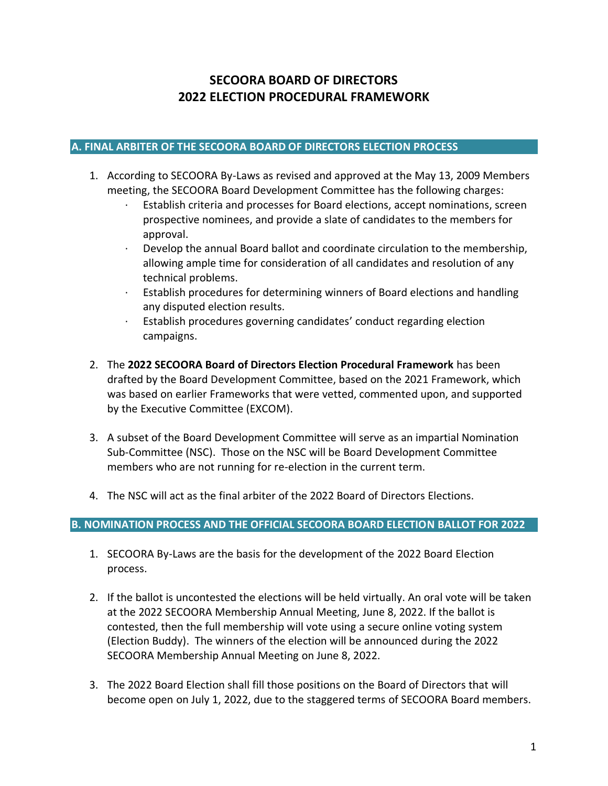# **SECOORA BOARD OF DIRECTORS 2022 ELECTION PROCEDURAL FRAMEWORK**

## **A. FINAL ARBITER OF THE SECOORA BOARD OF DIRECTORS ELECTION PROCESS**

- 1. According to SECOORA By-Laws as revised and approved at the May 13, 2009 Members meeting, the SECOORA Board Development Committee has the following charges:
	- · Establish criteria and processes for Board elections, accept nominations, screen prospective nominees, and provide a slate of candidates to the members for approval.
	- $\cdot$  Develop the annual Board ballot and coordinate circulation to the membership, allowing ample time for consideration of all candidates and resolution of any technical problems.
	- · Establish procedures for determining winners of Board elections and handling any disputed election results.
	- · Establish procedures governing candidates' conduct regarding election campaigns.
- 2. The **2022 SECOORA Board of Directors Election Procedural Framework** has been drafted by the Board Development Committee, based on the 2021 Framework, which was based on earlier Frameworks that were vetted, commented upon, and supported by the Executive Committee (EXCOM).
- 3. A subset of the Board Development Committee will serve as an impartial Nomination Sub-Committee (NSC). Those on the NSC will be Board Development Committee members who are not running for re-election in the current term.
- 4. The NSC will act as the final arbiter of the 2022 Board of Directors Elections.

## **B. NOMINATION PROCESS AND THE OFFICIAL SECOORA BOARD ELECTION BALLOT FOR 2022**

- 1. SECOORA By-Laws are the basis for the development of the 2022 Board Election process.
- 2. If the ballot is uncontested the elections will be held virtually. An oral vote will be taken at the 2022 SECOORA Membership Annual Meeting, June 8, 2022. If the ballot is contested, then the full membership will vote using a secure online voting system (Election Buddy). The winners of the election will be announced during the 2022 SECOORA Membership Annual Meeting on June 8, 2022.
- 3. The 2022 Board Election shall fill those positions on the Board of Directors that will become open on July 1, 2022, due to the staggered terms of SECOORA Board members.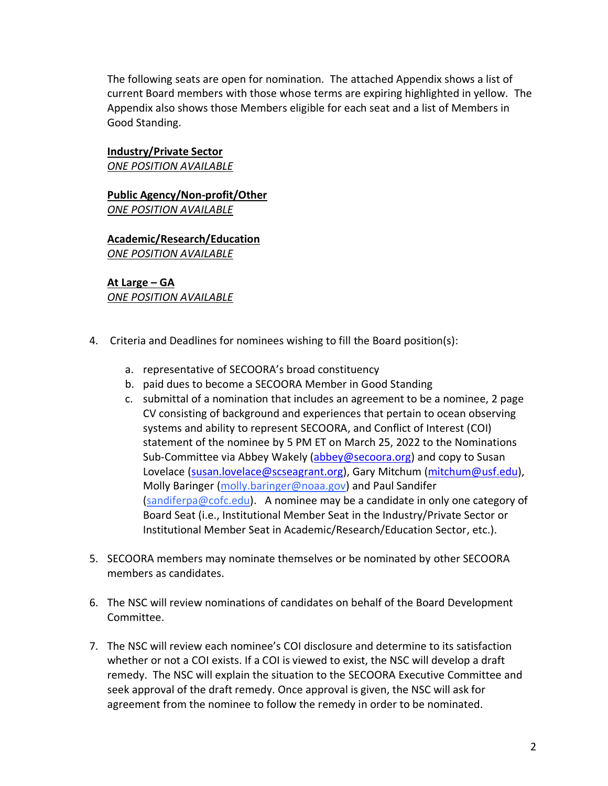The following seats are open for nomination. The attached Appendix shows a list of current Board members with those whose terms are expiring highlighted in yellow. The Appendix also shows those Members eligible for each seat and a list of Members in Good Standing.

### **Industry/Private Sector**

*ONE POSITION AVAILABLE*

**Public Agency/Non-profit/Other** *ONE POSITION AVAILABLE*

**Academic/Research/Education** *ONE POSITION AVAILABLE*

### **At Large – GA** *ONE POSITION AVAILABLE*

- 4. Criteria and Deadlines for nominees wishing to fill the Board position(s):
	- a. representative of SECOORA's broad constituency
	- b. paid dues to become a SECOORA Member in Good Standing
	- c. submittal of a nomination that includes an agreement to be a nominee, 2 page CV consisting of background and experiences that pertain to ocean observing systems and ability to represent SECOORA, and Conflict of Interest (COI) statement of the nominee by 5 PM ET on March 25, 2022 to the Nominations Sub-Committee via Abbey Wakely [\(abbey@secoora.org\)](mailto:abbey@secoora.org) and copy to Susan Lovelace [\(susan.lovelace@scseagrant.org\)](mailto:susan.lovelace@scseagrant.org), Gary Mitchum [\(mitchum@usf.edu\)](mailto:mitchum@usf.edu), Molly Baringer (molly.baringer@noaa.gov) and Paul Sandifer (sandiferpa@cofc.edu). A nominee may be a candidate in only one category of Board Seat (i.e., Institutional Member Seat in the Industry/Private Sector or Institutional Member Seat in Academic/Research/Education Sector, etc.).
- 5. SECOORA members may nominate themselves or be nominated by other SECOORA members as candidates.
- 6. The NSC will review nominations of candidates on behalf of the Board Development Committee.
- 7. The NSC will review each nominee's COI disclosure and determine to its satisfaction whether or not a COI exists. If a COI is viewed to exist, the NSC will develop a draft remedy. The NSC will explain the situation to the SECOORA Executive Committee and seek approval of the draft remedy. Once approval is given, the NSC will ask for agreement from the nominee to follow the remedy in order to be nominated.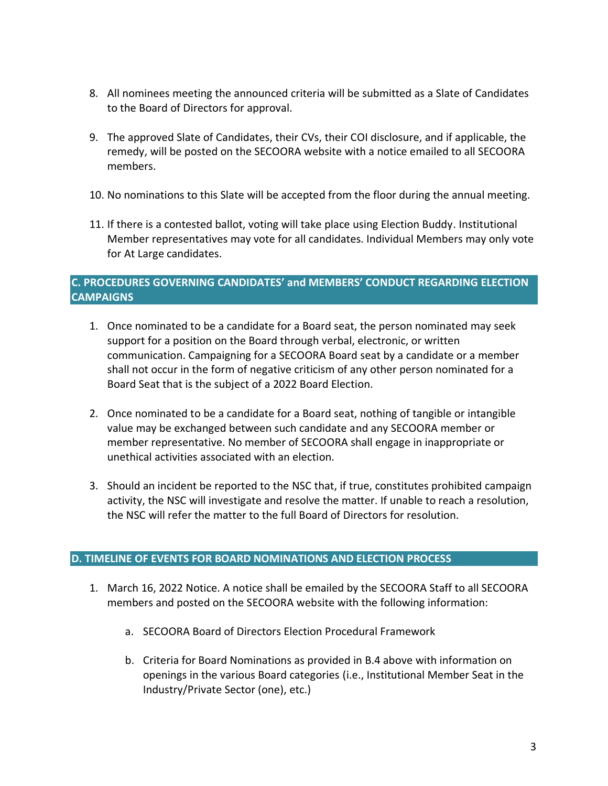- 8. All nominees meeting the announced criteria will be submitted as a Slate of Candidates to the Board of Directors for approval.
- 9. The approved Slate of Candidates, their CVs, their COI disclosure, and if applicable, the remedy, will be posted on the SECOORA website with a notice emailed to all SECOORA members.
- 10. No nominations to this Slate will be accepted from the floor during the annual meeting.
- 11. If there is a contested ballot, voting will take place using Election Buddy. Institutional Member representatives may vote for all candidates. Individual Members may only vote for At Large candidates.

## **C. PROCEDURES GOVERNING CANDIDATES' and MEMBERS' CONDUCT REGARDING ELECTION CAMPAIGNS**

- 1. Once nominated to be a candidate for a Board seat, the person nominated may seek support for a position on the Board through verbal, electronic, or written communication. Campaigning for a SECOORA Board seat by a candidate or a member shall not occur in the form of negative criticism of any other person nominated for a Board Seat that is the subject of a 2022 Board Election.
- 2. Once nominated to be a candidate for a Board seat, nothing of tangible or intangible value may be exchanged between such candidate and any SECOORA member or member representative. No member of SECOORA shall engage in inappropriate or unethical activities associated with an election.
- 3. Should an incident be reported to the NSC that, if true, constitutes prohibited campaign activity, the NSC will investigate and resolve the matter. If unable to reach a resolution, the NSC will refer the matter to the full Board of Directors for resolution.

## **D. TIMELINE OF EVENTS FOR BOARD NOMINATIONS AND ELECTION PROCESS**

- 1. March 16, 2022 Notice. A notice shall be emailed by the SECOORA Staff to all SECOORA members and posted on the SECOORA website with the following information:
	- a. SECOORA Board of Directors Election Procedural Framework
	- b. Criteria for Board Nominations as provided in B.4 above with information on openings in the various Board categories (i.e., Institutional Member Seat in the Industry/Private Sector (one), etc.)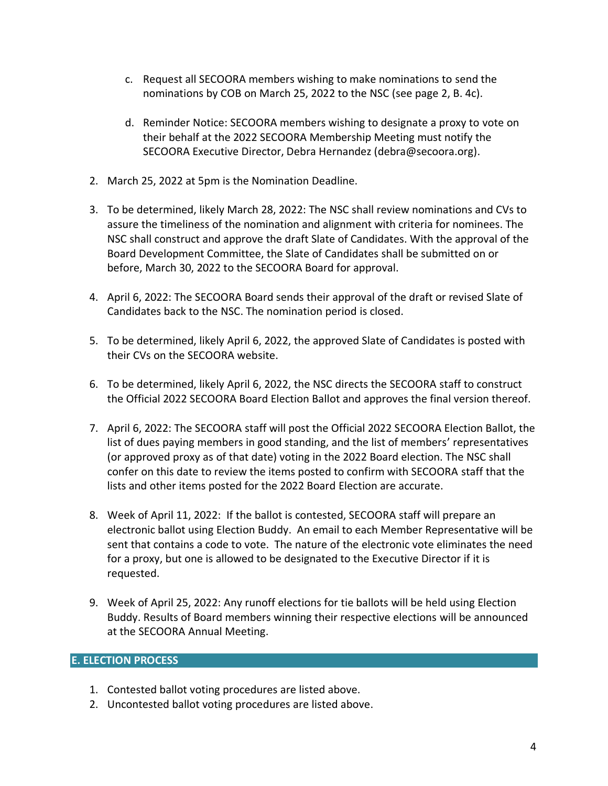- c. Request all SECOORA members wishing to make nominations to send the nominations by COB on March 25, 2022 to the NSC (see page 2, B. 4c).
- d. Reminder Notice: SECOORA members wishing to designate a proxy to vote on their behalf at the 2022 SECOORA Membership Meeting must notify the SECOORA Executive Director, Debra Hernandez (debra@secoora.org).
- 2. March 25, 2022 at 5pm is the Nomination Deadline.
- 3. To be determined, likely March 28, 2022: The NSC shall review nominations and CVs to assure the timeliness of the nomination and alignment with criteria for nominees. The NSC shall construct and approve the draft Slate of Candidates. With the approval of the Board Development Committee, the Slate of Candidates shall be submitted on or before, March 30, 2022 to the SECOORA Board for approval.
- 4. April 6, 2022: The SECOORA Board sends their approval of the draft or revised Slate of Candidates back to the NSC. The nomination period is closed.
- 5. To be determined, likely April 6, 2022, the approved Slate of Candidates is posted with their CVs on the SECOORA website.
- 6. To be determined, likely April 6, 2022, the NSC directs the SECOORA staff to construct the Official 2022 SECOORA Board Election Ballot and approves the final version thereof.
- 7. April 6, 2022: The SECOORA staff will post the Official 2022 SECOORA Election Ballot, the list of dues paying members in good standing, and the list of members' representatives (or approved proxy as of that date) voting in the 2022 Board election. The NSC shall confer on this date to review the items posted to confirm with SECOORA staff that the lists and other items posted for the 2022 Board Election are accurate.
- 8. Week of April 11, 2022: If the ballot is contested, SECOORA staff will prepare an electronic ballot using Election Buddy. An email to each Member Representative will be sent that contains a code to vote. The nature of the electronic vote eliminates the need for a proxy, but one is allowed to be designated to the Executive Director if it is requested.
- 9. Week of April 25, 2022: Any runoff elections for tie ballots will be held using Election Buddy. Results of Board members winning their respective elections will be announced at the SECOORA Annual Meeting.

## **E. ELECTION PROCESS**

- 1. Contested ballot voting procedures are listed above.
- 2. Uncontested ballot voting procedures are listed above.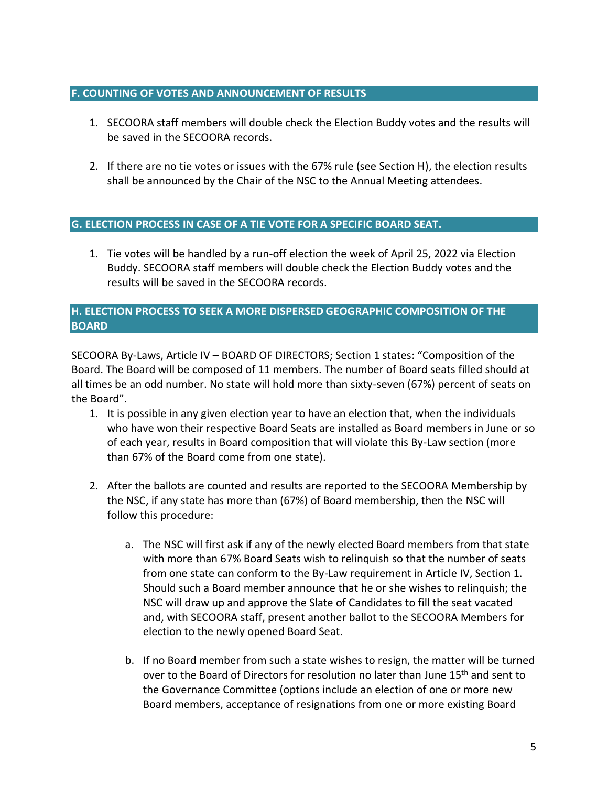## **F. COUNTING OF VOTES AND ANNOUNCEMENT OF RESULTS**

- 1. SECOORA staff members will double check the Election Buddy votes and the results will be saved in the SECOORA records.
- 2. If there are no tie votes or issues with the 67% rule (see Section H), the election results shall be announced by the Chair of the NSC to the Annual Meeting attendees.

## **G. ELECTION PROCESS IN CASE OF A TIE VOTE FOR A SPECIFIC BOARD SEAT.**

1. Tie votes will be handled by a run-off election the week of April 25, 2022 via Election Buddy. SECOORA staff members will double check the Election Buddy votes and the results will be saved in the SECOORA records.

## **H. ELECTION PROCESS TO SEEK A MORE DISPERSED GEOGRAPHIC COMPOSITION OF THE BOARD**

SECOORA By-Laws, Article IV – BOARD OF DIRECTORS; Section 1 states: "Composition of the Board. The Board will be composed of 11 members. The number of Board seats filled should at all times be an odd number. No state will hold more than sixty-seven (67%) percent of seats on the Board".

- 1. It is possible in any given election year to have an election that, when the individuals who have won their respective Board Seats are installed as Board members in June or so of each year, results in Board composition that will violate this By-Law section (more than 67% of the Board come from one state).
- 2. After the ballots are counted and results are reported to the SECOORA Membership by the NSC, if any state has more than (67%) of Board membership, then the NSC will follow this procedure:
	- a. The NSC will first ask if any of the newly elected Board members from that state with more than 67% Board Seats wish to relinquish so that the number of seats from one state can conform to the By-Law requirement in Article IV, Section 1. Should such a Board member announce that he or she wishes to relinquish; the NSC will draw up and approve the Slate of Candidates to fill the seat vacated and, with SECOORA staff, present another ballot to the SECOORA Members for election to the newly opened Board Seat.
	- b. If no Board member from such a state wishes to resign, the matter will be turned over to the Board of Directors for resolution no later than June 15<sup>th</sup> and sent to the Governance Committee (options include an election of one or more new Board members, acceptance of resignations from one or more existing Board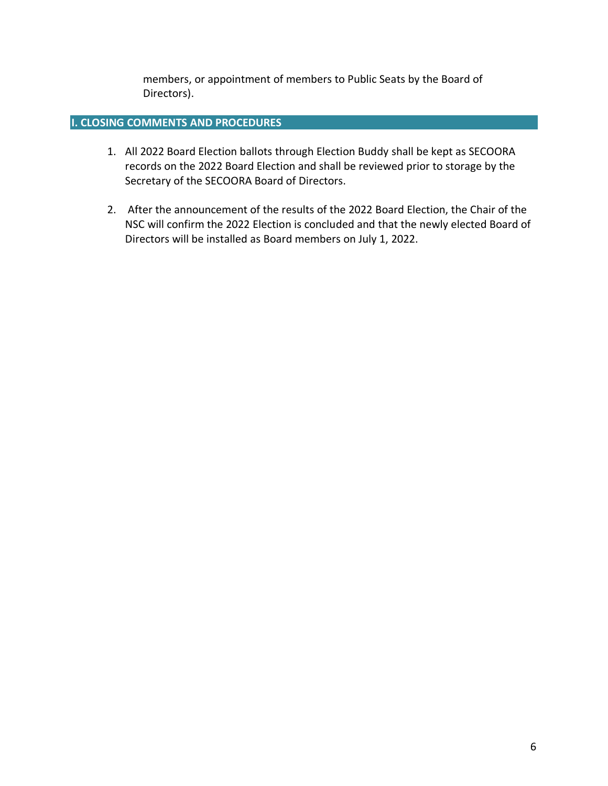members, or appointment of members to Public Seats by the Board of Directors).

## **I. CLOSING COMMENTS AND PROCEDURES**

- 1. All 2022 Board Election ballots through Election Buddy shall be kept as SECOORA records on the 2022 Board Election and shall be reviewed prior to storage by the Secretary of the SECOORA Board of Directors.
- 2. After the announcement of the results of the 2022 Board Election, the Chair of the NSC will confirm the 2022 Election is concluded and that the newly elected Board of Directors will be installed as Board members on July 1, 2022.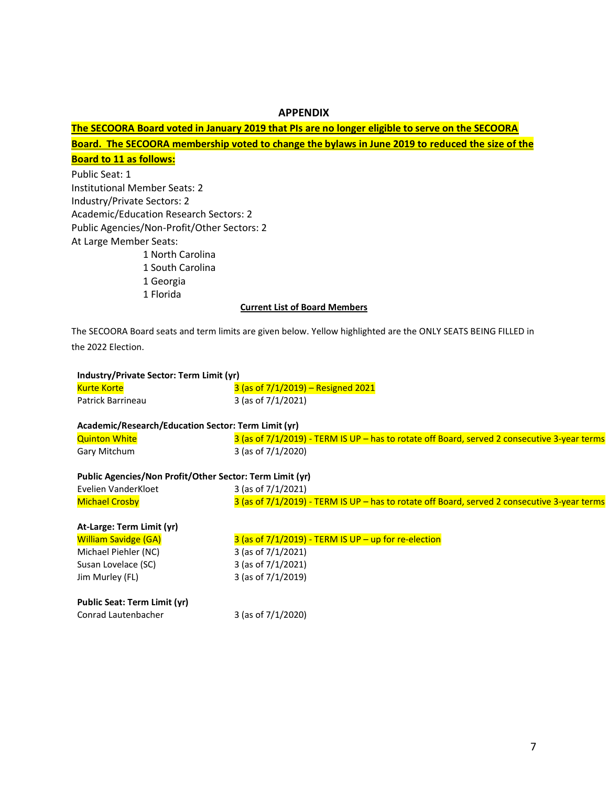#### **APPENDIX**

## **The SECOORA Board voted in January 2019 that PIs are no longer eligible to serve on the SECOORA**

**Board. The SECOORA membership voted to change the bylaws in June 2019 to reduced the size of the Board to 11 as follows:**

Public Seat: 1 Institutional Member Seats: 2 Industry/Private Sectors: 2 Academic/Education Research Sectors: 2 Public Agencies/Non-Profit/Other Sectors: 2 At Large Member Seats: 1 North Carolina

1 South Carolina

1 Georgia

1 Florida

#### **Current List of Board Members**

The SECOORA Board seats and term limits are given below. Yellow highlighted are the ONLY SEATS BEING FILLED in the 2022 Election.

| Industry/Private Sector: Term Limit (yr)                 |                                                                                              |  |  |  |  |
|----------------------------------------------------------|----------------------------------------------------------------------------------------------|--|--|--|--|
| <b>Kurte Korte</b>                                       | $3$ (as of $7/1/2019$ ) – Resigned 2021                                                      |  |  |  |  |
| Patrick Barrineau                                        | 3 (as of $7/1/2021$ )                                                                        |  |  |  |  |
|                                                          |                                                                                              |  |  |  |  |
| Academic/Research/Education Sector: Term Limit (yr)      |                                                                                              |  |  |  |  |
| <b>Quinton White</b>                                     | 3 (as of 7/1/2019) - TERM IS UP - has to rotate off Board, served 2 consecutive 3-year terms |  |  |  |  |
| Gary Mitchum                                             | 3 (as of $7/1/2020$ )                                                                        |  |  |  |  |
|                                                          |                                                                                              |  |  |  |  |
| Public Agencies/Non Profit/Other Sector: Term Limit (yr) |                                                                                              |  |  |  |  |
| Evelien VanderKloet                                      | 3 (as of $7/1/2021$ )                                                                        |  |  |  |  |
| <b>Michael Crosby</b>                                    | 3 (as of 7/1/2019) - TERM IS UP - has to rotate off Board, served 2 consecutive 3-year terms |  |  |  |  |
|                                                          |                                                                                              |  |  |  |  |
| At-Large: Term Limit (yr)                                |                                                                                              |  |  |  |  |
| <b>William Savidge (GA)</b>                              | $3$ (as of $7/1/2019$ ) - TERM IS UP - up for re-election                                    |  |  |  |  |
| Michael Piehler (NC)                                     | 3 (as of $7/1/2021$ )                                                                        |  |  |  |  |
| Susan Lovelace (SC)                                      | 3 (as of $7/1/2021$ )                                                                        |  |  |  |  |
| Jim Murley (FL)                                          | 3 (as of 7/1/2019)                                                                           |  |  |  |  |
|                                                          |                                                                                              |  |  |  |  |
| Public Seat: Term Limit (yr)                             |                                                                                              |  |  |  |  |
| Conrad Lautenbacher                                      | 3 (as of $7/1/2020$ )                                                                        |  |  |  |  |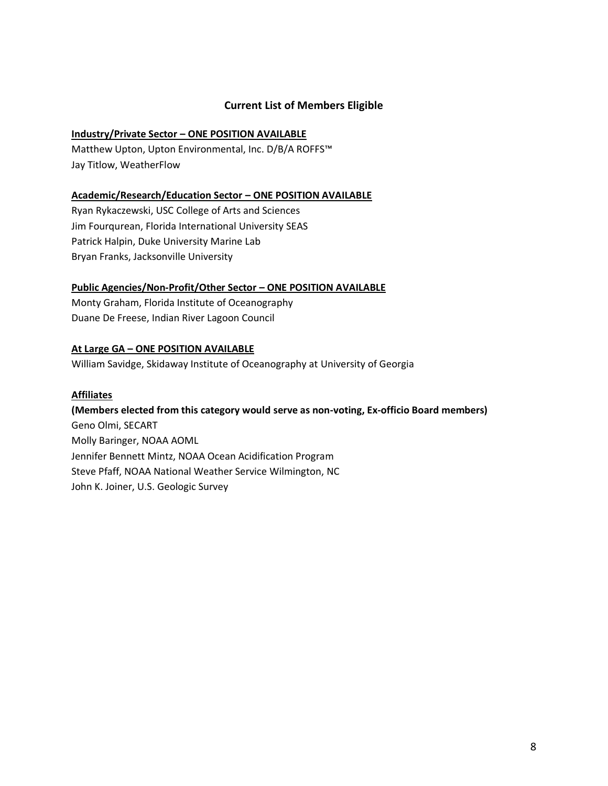## **Current List of Members Eligible**

## **Industry/Private Sector – ONE POSITION AVAILABLE**

Matthew Upton, Upton Environmental, Inc. D/B/A ROFFS™ Jay Titlow, WeatherFlow

### **Academic/Research/Education Sector – ONE POSITION AVAILABLE**

Ryan Rykaczewski, USC College of Arts and Sciences Jim Fourqurean, Florida International University SEAS Patrick Halpin, Duke University Marine Lab Bryan Franks, Jacksonville University

### **Public Agencies/Non-Profit/Other Sector – ONE POSITION AVAILABLE**

Monty Graham, Florida Institute of Oceanography Duane De Freese, Indian River Lagoon Council

### **At Large GA – ONE POSITION AVAILABLE**

William Savidge, Skidaway Institute of Oceanography at University of Georgia

### **Affiliates**

## **(Members elected from this category would serve as non-voting, Ex-officio Board members)**

Geno Olmi, SECART Molly Baringer, NOAA AOML Jennifer Bennett Mintz, NOAA Ocean Acidification Program Steve Pfaff, NOAA National Weather Service Wilmington, NC John K. Joiner, U.S. Geologic Survey